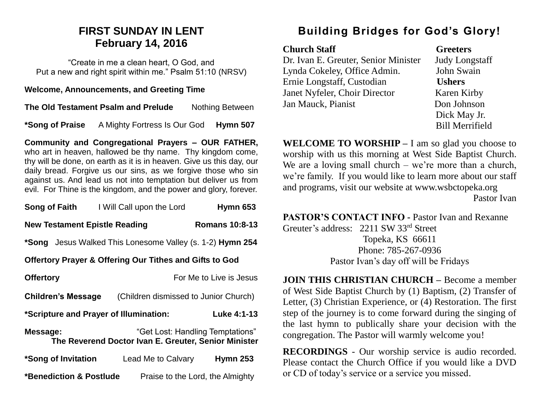# **FIRST SUNDAY IN LENT February 14, 2016**

"Create in me a clean heart, O God, and Put a new and right spirit within me." Psalm 51:10 (NRSV)

#### **Welcome, Announcements, and Greeting Time**

**The Old Testament Psalm and Prelude** Nothing Between

**\*Song of Praise** A Mighty Fortress Is Our God **Hymn 507**

**Community and Congregational Prayers – OUR FATHER,**  who art in heaven, hallowed be thy name. Thy kingdom come, thy will be done, on earth as it is in heaven. Give us this day, our daily bread. Forgive us our sins, as we forgive those who sin against us. And lead us not into temptation but deliver us from evil. For Thine is the kingdom, and the power and glory, forever.

| Song of Faith                                                      | I Will Call upon the Lord                            | <b>Hymn 653</b>                  |
|--------------------------------------------------------------------|------------------------------------------------------|----------------------------------|
| <b>New Testament Epistle Reading</b>                               |                                                      | <b>Romans 10:8-13</b>            |
| *Song Jesus Walked This Lonesome Valley (s. 1-2) Hymn 254          |                                                      |                                  |
| <b>Offertory Prayer &amp; Offering Our Tithes and Gifts to God</b> |                                                      |                                  |
| <b>Offertory</b>                                                   |                                                      | For Me to Live is Jesus          |
| <b>Children's Message</b>                                          | (Children dismissed to Junior Church)                |                                  |
|                                                                    | *Scripture and Prayer of Illumination:               | Luke 4:1-13                      |
| Message:                                                           | The Reverend Doctor Ivan E. Greuter, Senior Minister | "Get Lost: Handling Temptations" |
| *Song of Invitation                                                | Lead Me to Calvary                                   | <b>Hymn 253</b>                  |
| *Benediction & Postlude                                            |                                                      | Praise to the Lord, the Almighty |

# **Building Bridges for God's Glory!**

| <b>Church Staff</b>                  |
|--------------------------------------|
| Dr. Ivan E. Greuter, Senior Minister |
| Lynda Cokeley, Office Admin.         |
| Ernie Longstaff, Custodian           |
| Janet Nyfeler, Choir Director        |
| Jan Mauck, Pianist                   |
|                                      |

Greeters Judy Longstaff John Swain **Ushers** Karen Kirby Don Johnson Dick May Jr. Bill Merrifield

**WELCOME TO WORSHIP –** I am so glad you choose to worship with us this morning at West Side Baptist Church. We are a loving small church – we're more than a church, we're family. If you would like to learn more about our staff and programs, visit our website at www.wsbctopeka.org Pastor Ivan

**PASTOR'S CONTACT INFO -** Pastor Ivan and Rexanne

Greuter's address: 2211 SW 33rd Street Topeka, KS 66611 Phone: 785-267-0936 Pastor Ivan's day off will be Fridays

**JOIN THIS CHRISTIAN CHURCH –** Become a member of West Side Baptist Church by (1) Baptism, (2) Transfer of Letter, (3) Christian Experience, or (4) Restoration. The first step of the journey is to come forward during the singing of the last hymn to publically share your decision with the congregation. The Pastor will warmly welcome you!

**RECORDINGS** - Our worship service is audio recorded. Please contact the Church Office if you would like a DVD or CD of today's service or a service you missed.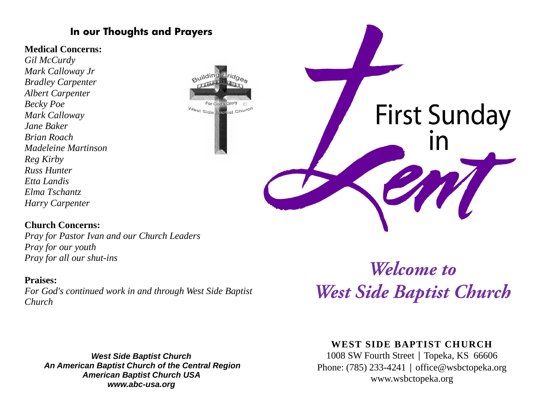# **In our Thoughts and Prayers**

### **Medical Concerns:**

*Gil McCurdy Mark Calloway Jr Bradley Carpenter Albert Carpenter Becky Poe Mark Calloway Jane Baker Brian Roach Madeleine Martinson Reg Kirby Russ Hunter Etta Landis Elma Tschantz Harry Carpenter* 

# For God's West Side Baptist Chur

### **Church Concerns:**

*Pray for Pastor Ivan and our Church Leaders Pray for our youth Pray for all our shut-ins*

### **Praises:**

*For God's continued work in and through West Side Baptist Church* 

*West Side Baptist Church An American Baptist Church of the Central Region American Baptist Church USA www.abc-usa.org* 

Welcome to West Side Baptist Church

**First Sunday** 

## **WEST SIDE BAPTIST CHURCH**

1008 SW Fourth Street | Topeka, KS 66606 Phone: (785) 233-4241 │ [office@wsbctopeka.org](mailto:office@wsbctopeka.org) www.wsbctopeka.org